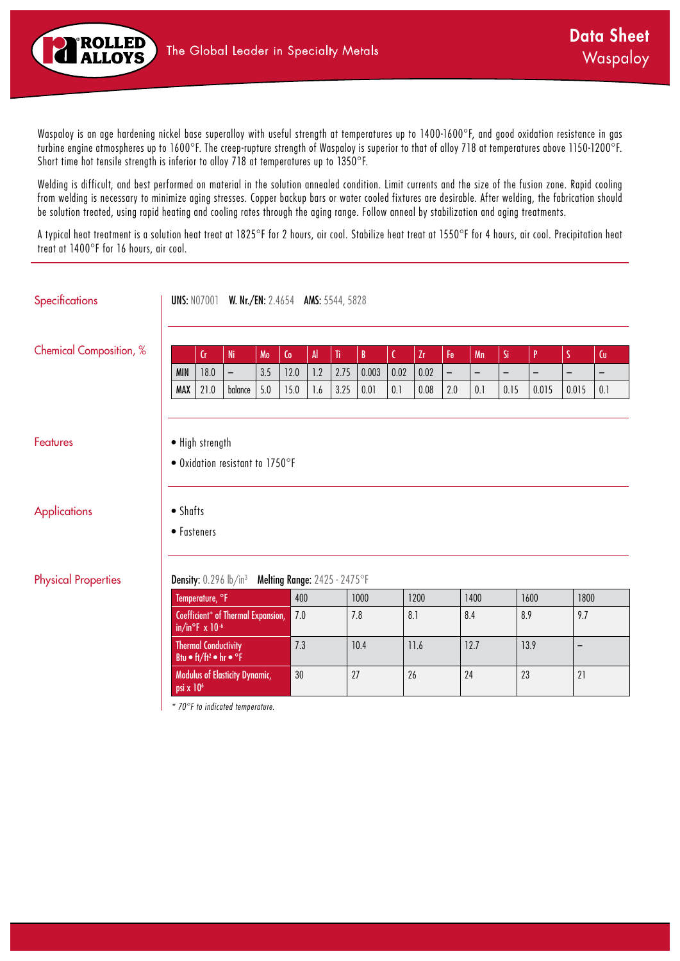

Waspaloy is an age hardening nickel base superalloy with useful strength at temperatures up to 1400-1600°F, and good oxidation resistance in gas turbine engine atmospheres up to 1600°F. The creep-rupture strength of Waspaloy is superior to that of alloy 718 at temperatures above 1150-1200°F. Short time hot tensile strength is inferior to alloy 718 at temperatures up to 1350°F.

Welding is difficult, and best performed on material in the solution annealed condition. Limit currents and the size of the fusion zone. Rapid cooling from welding is necessary to minimize aging stresses. Copper backup bars or water cooled fixtures are desirable. After welding, the fabrication should be solution treated, using rapid heating and cooling rates through the aging range. Follow anneal by stabilization and aging treatments.

A typical heat treatment is a solution heat treat at 1825°F for 2 hours, air cool. Stabilize heat treat at 1550°F for 4 hours, air cool. Precipitation heat treat at 1400°F for 16 hours, air cool.

| <b>Specifications</b>           |                         |                                                                                           | <b>UNS: N07001 W. Nr./EN: 2.4654 AMS: 5544, 5828</b> |     |                |                      |                                     |              |              |      |                          |                          |                          |                          |                          |                          |
|---------------------------------|-------------------------|-------------------------------------------------------------------------------------------|------------------------------------------------------|-----|----------------|----------------------|-------------------------------------|--------------|--------------|------|--------------------------|--------------------------|--------------------------|--------------------------|--------------------------|--------------------------|
| <b>Chemical Composition, %</b>  |                         | $\mathsf{Cr}$                                                                             | <b>Ni</b>                                            | Mo  | $\mathsf{C}_0$ | $\mathsf{Al}\xspace$ | $\overline{\textbf{h}}$             | $\mathbf{B}$ | $\mathsf{C}$ | Zr.  | Fe                       | Mn                       | Si                       | P                        | S.                       | $\mathsf{C}\mathsf{u}$   |
|                                 | <b>MIN</b>              | 18.0                                                                                      | $\qquad \qquad -$                                    | 3.5 | 12.0           | 1.2                  | 2.75                                | 0.003        | 0.02         | 0.02 | $\overline{\phantom{0}}$ | $\overline{\phantom{0}}$ | $\overline{\phantom{m}}$ | $\overline{\phantom{0}}$ | $\overline{\phantom{0}}$ | $\overline{\phantom{0}}$ |
|                                 | <b>MAX</b>              | 21.0                                                                                      | balance                                              | 5.0 | 15.0           | 1.6                  | 3.25                                | 0.01         | 0.1          | 0.08 | 2.0                      | 0.1                      | 0.15                     | 0.015                    | 0.015                    | 0.1                      |
| Features<br><b>Applications</b> | • Shafts<br>• Fasteners | • High strength                                                                           | • Oxidation resistant to 1750°F                      |     |                |                      |                                     |              |              |      |                          |                          |                          |                          |                          |                          |
| <b>Physical Properties</b>      |                         | <b>Density:</b> $0.296$ lb/in <sup>3</sup>                                                |                                                      |     |                |                      | <b>Melting Range: 2425 - 2475°F</b> |              |              |      |                          |                          |                          |                          |                          |                          |
|                                 |                         | Temperature, °F                                                                           |                                                      |     | 400            |                      |                                     | 1000         |              | 1200 |                          | 1400                     |                          | 1600                     | 1800                     |                          |
|                                 |                         | in/in°F $\times$ 10 <sup>-6</sup>                                                         | Coefficient* of Thermal Expansion,                   |     | 7.0            |                      |                                     | 7.8          |              | 8.1  |                          | 8.4                      | 8.9                      |                          | 9.7                      |                          |
|                                 |                         | <b>Thermal Conductivity</b><br>Btu $\bullet$ ft/ft <sup>2</sup> $\bullet$ hr $\bullet$ °F |                                                      |     | 7.3            |                      |                                     | 10.4         |              | 11.6 |                          | 12.7                     |                          | 13.9                     | $\qquad \qquad -$        |                          |
|                                 | $psi \times 10^6$       |                                                                                           | Modulus of Elasticity Dynamic,                       |     | 30             |                      | 27                                  |              | 26           |      |                          | 24                       | 23                       |                          | 21                       |                          |
|                                 |                         |                                                                                           | * 70°F to indicated temperature.                     |     |                |                      |                                     |              |              |      |                          |                          |                          |                          |                          |                          |